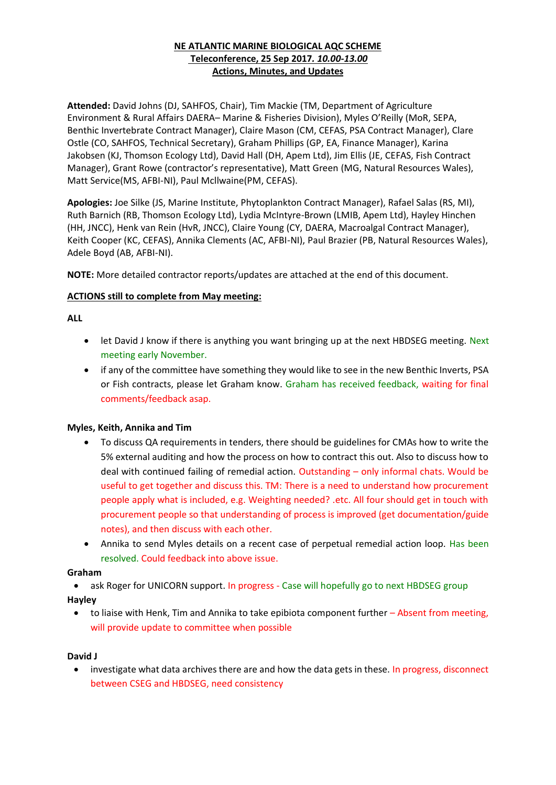# **NE ATLANTIC MARINE BIOLOGICAL AQC SCHEME Teleconference, 25 Sep 2017***. 10.00-13.00* **Actions, Minutes, and Updates**

**Attended:** David Johns (DJ, SAHFOS, Chair), Tim Mackie (TM, Department of Agriculture Environment & Rural Affairs DAERA– Marine & Fisheries Division), Myles O'Reilly (MoR, SEPA, Benthic Invertebrate Contract Manager), Claire Mason (CM, CEFAS, PSA Contract Manager), Clare Ostle (CO, SAHFOS, Technical Secretary), Graham Phillips (GP, EA, Finance Manager), Karina Jakobsen (KJ, Thomson Ecology Ltd), David Hall (DH, Apem Ltd), Jim Ellis (JE, CEFAS, Fish Contract Manager), Grant Rowe (contractor's representative), Matt Green (MG, Natural Resources Wales), Matt Service(MS, AFBI-NI), Paul Mcllwaine(PM, CEFAS).

**Apologies:** Joe Silke (JS, Marine Institute, Phytoplankton Contract Manager), Rafael Salas (RS, MI), Ruth Barnich (RB, Thomson Ecology Ltd), Lydia McIntyre-Brown (LMIB, Apem Ltd), Hayley Hinchen (HH, JNCC), Henk van Rein (HvR, JNCC), Claire Young (CY, DAERA, Macroalgal Contract Manager), Keith Cooper (KC, CEFAS), Annika Clements (AC, AFBI-NI), Paul Brazier (PB, Natural Resources Wales), Adele Boyd (AB, AFBI-NI).

**NOTE:** More detailed contractor reports/updates are attached at the end of this document.

## <span id="page-0-0"></span>**ACTIONS still to complete from May meeting:**

## **ALL**

- let David J know if there is anything you want bringing up at the next HBDSEG meeting. Next meeting early November.
- if any of the committee have something they would like to see in the new Benthic Inverts, PSA or Fish contracts, please let Graham know. Graham has received feedback, waiting for final comments/feedback asap.

#### **Myles, Keith, Annika and Tim**

- To discuss QA requirements in tenders, there should be guidelines for CMAs how to write the 5% external auditing and how the process on how to contract this out. Also to discuss how to deal with continued failing of remedial action. Outstanding – only informal chats. Would be useful to get together and discuss this. TM: There is a need to understand how procurement people apply what is included, e.g. Weighting needed? .etc. All four should get in touch with procurement people so that understanding of process is improved (get documentation/guide notes), and then discuss with each other.
- Annika to send Myles details on a recent case of perpetual remedial action loop. Has been resolved. Could feedback into above issue.

#### **Graham**

- ask Roger for UNICORN support. In progress Case will hopefully go to next HBDSEG group **Hayley**
	- to liaise with Henk, Tim and Annika to take epibiota component further Absent from meeting, will provide update to committee when possible

#### **David J**

• investigate what data archives there are and how the data gets in these. In progress, disconnect between CSEG and HBDSEG, need consistency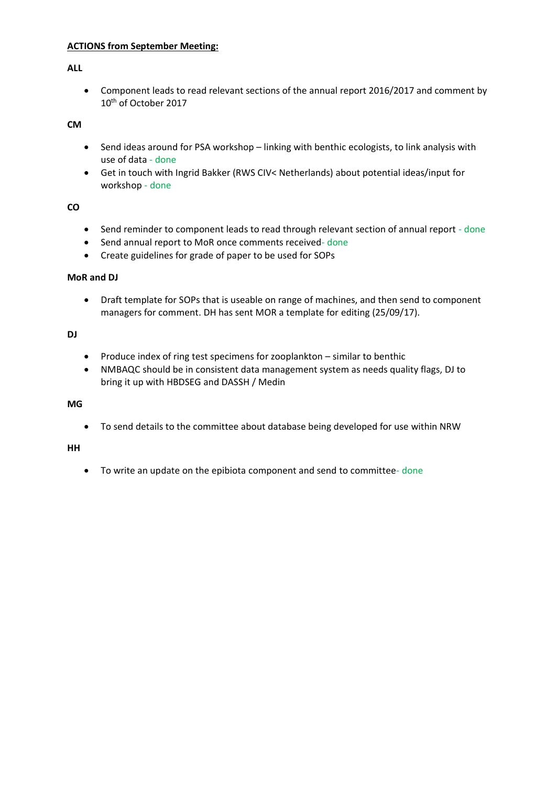## **ACTIONS from September Meeting:**

## **ALL**

• Component leads to read relevant sections of the annual report 2016/2017 and comment by 10th of October 2017

**CM**

- Send ideas around for PSA workshop linking with benthic ecologists, to link analysis with use of data - done
- Get in touch with Ingrid Bakker (RWS CIV< Netherlands) about potential ideas/input for workshop - done

## **CO**

- Send reminder to component leads to read through relevant section of annual report done
- Send annual report to MoR once comments received- done
- Create guidelines for grade of paper to be used for SOPs

#### **MoR and DJ**

• Draft template for SOPs that is useable on range of machines, and then send to component managers for comment. DH has sent MOR a template for editing (25/09/17).

# **DJ**

- Produce index of ring test specimens for zooplankton similar to benthic
- NMBAQC should be in consistent data management system as needs quality flags, DJ to bring it up with HBDSEG and DASSH / Medin

#### **MG**

• To send details to the committee about database being developed for use within NRW

#### **HH**

• To write an update on the epibiota component and send to committee- done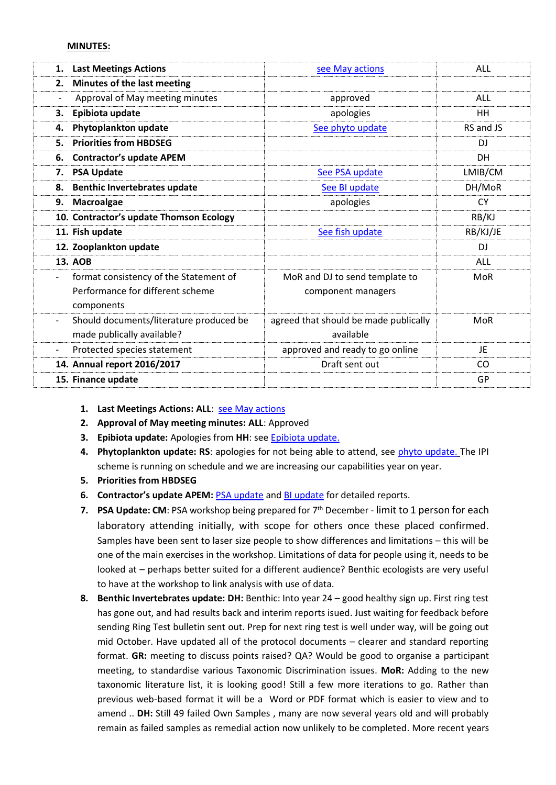#### **MINUTES:**

| 1. | <b>Last Meetings Actions</b>            | see May actions                       | ALL        |
|----|-----------------------------------------|---------------------------------------|------------|
| 2. | Minutes of the last meeting             |                                       |            |
|    | Approval of May meeting minutes         | approved                              | ALL        |
| З. | Epibiota update                         | apologies                             | <b>HH</b>  |
| 4. | Phytoplankton update                    | See phyto update                      | RS and JS  |
| 5. | <b>Priorities from HBDSEG</b>           |                                       | DJ         |
| 6. | <b>Contractor's update APEM</b>         |                                       | DH         |
| 7. | <b>PSA Update</b>                       | See PSA update                        | LMIB/CM    |
| 8. | <b>Benthic Invertebrates update</b>     | See BI update                         | DH/MoR     |
| 9. | Macroalgae                              | apologies                             | <b>CY</b>  |
|    | 10. Contractor's update Thomson Ecology |                                       | RB/KJ      |
|    | 11. Fish update                         | See fish update                       | RB/KJ/JE   |
|    | 12. Zooplankton update                  |                                       | <b>DJ</b>  |
|    | <b>13. AOB</b>                          |                                       | <b>ALL</b> |
|    | format consistency of the Statement of  | MoR and DJ to send template to        | <b>MoR</b> |
|    | Performance for different scheme        | component managers                    |            |
|    | components                              |                                       |            |
|    | Should documents/literature produced be | agreed that should be made publically | MoR        |
|    | made publically available?              | available                             |            |
|    | Protected species statement             | approved and ready to go online       | JE         |
|    | 14. Annual report 2016/2017             | Draft sent out                        | CO         |
|    | 15. Finance update                      |                                       | GP         |
|    |                                         |                                       |            |

- **1. Last Meetings Actions: ALL**: [see May actions](#page-0-0)
- **2. Approval of May meeting minutes: ALL**: Approved
- **3. Epibiota update:** Apologies from **HH**: see [Epibiota update.](#page-4-1)
- **4. Phytoplankton update: RS**: apologies for not being able to attend, see [phyto update.](#page-4-0) The IPI scheme is running on schedule and we are increasing our capabilities year on year.
- **5. Priorities from HBDSEG**
- **6. Contractor's update APEM:** [PSA update](#page-6-0) and [BI update](#page-9-0) for detailed reports.
- **7. PSA Update: CM**: PSA workshop being prepared for  $7<sup>th</sup>$  December limit to 1 person for each laboratory attending initially, with scope for others once these placed confirmed. Samples have been sent to laser size people to show differences and limitations – this will be one of the main exercises in the workshop. Limitations of data for people using it, needs to be looked at – perhaps better suited for a different audience? Benthic ecologists are very useful to have at the workshop to link analysis with use of data.
- **8. Benthic Invertebrates update: DH:** Benthic: Into year 24 good healthy sign up. First ring test has gone out, and had results back and interim reports isued. Just waiting for feedback before sending Ring Test bulletin sent out. Prep for next ring test is well under way, will be going out mid October. Have updated all of the protocol documents – clearer and standard reporting format. **GR:** meeting to discuss points raised? QA? Would be good to organise a participant meeting, to standardise various Taxonomic Discrimination issues. **MoR:** Adding to the new taxonomic literature list, it is looking good! Still a few more iterations to go. Rather than previous web-based format it will be a Word or PDF format which is easier to view and to amend .. **DH:** Still 49 failed Own Samples , many are now several years old and will probably remain as failed samples as remedial action now unlikely to be completed. More recent years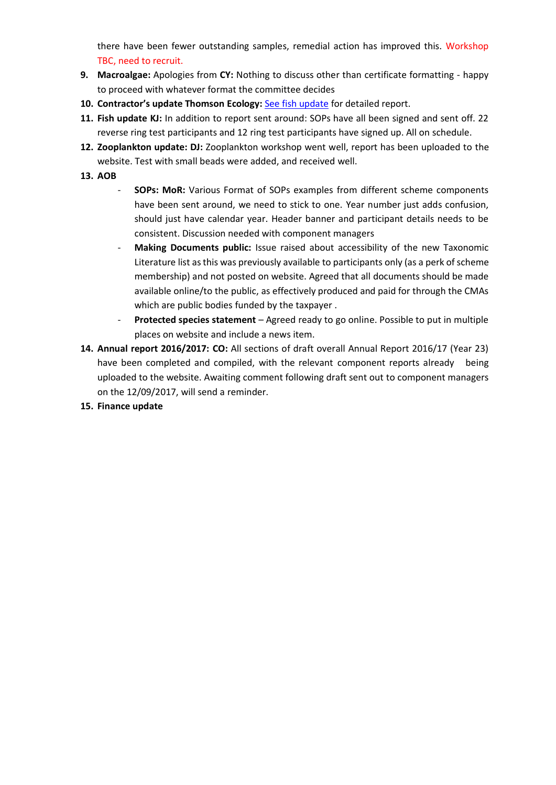there have been fewer outstanding samples, remedial action has improved this. Workshop TBC, need to recruit.

- **9. Macroalgae:** Apologies from **CY:** Nothing to discuss other than certificate formatting happy to proceed with whatever format the committee decides
- 10. Contractor's update Thomson Ecology: [See fish update](#page-18-0) for detailed report.
- **11. Fish update KJ:** In addition to report sent around: SOPs have all been signed and sent off. 22 reverse ring test participants and 12 ring test participants have signed up. All on schedule.
- **12. Zooplankton update: DJ:** Zooplankton workshop went well, report has been uploaded to the website. Test with small beads were added, and received well.
- **13. AOB**
	- **SOPs: MoR:** Various Format of SOPs examples from different scheme components have been sent around, we need to stick to one. Year number just adds confusion, should just have calendar year. Header banner and participant details needs to be consistent. Discussion needed with component managers
	- **Making Documents public:** Issue raised about accessibility of the new Taxonomic Literature list as this was previously available to participants only (as a perk of scheme membership) and not posted on website. Agreed that all documents should be made available online/to the public, as effectively produced and paid for through the CMAs which are public bodies funded by the taxpayer .
	- **Protected species statement**  Agreed ready to go online. Possible to put in multiple places on website and include a news item.
- **14. Annual report 2016/2017: CO:** All sections of draft overall Annual Report 2016/17 (Year 23) have been completed and compiled, with the relevant component reports already being uploaded to the website. Awaiting comment following draft sent out to component managers on the 12/09/2017, will send a reminder.

# **15. Finance update**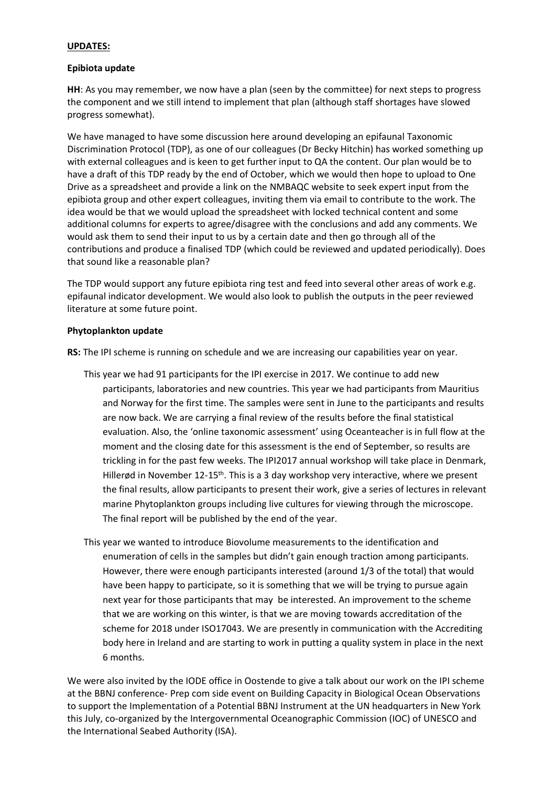#### **UPDATES:**

#### <span id="page-4-1"></span>**Epibiota update**

**HH**: As you may remember, we now have a plan (seen by the committee) for next steps to progress the component and we still intend to implement that plan (although staff shortages have slowed progress somewhat).

We have managed to have some discussion here around developing an epifaunal Taxonomic Discrimination Protocol (TDP), as one of our colleagues (Dr Becky Hitchin) has worked something up with external colleagues and is keen to get further input to QA the content. Our plan would be to have a draft of this TDP ready by the end of October, which we would then hope to upload to One Drive as a spreadsheet and provide a link on the NMBAQC website to seek expert input from the epibiota group and other expert colleagues, inviting them via email to contribute to the work. The idea would be that we would upload the spreadsheet with locked technical content and some additional columns for experts to agree/disagree with the conclusions and add any comments. We would ask them to send their input to us by a certain date and then go through all of the contributions and produce a finalised TDP (which could be reviewed and updated periodically). Does that sound like a reasonable plan?

The TDP would support any future epibiota ring test and feed into several other areas of work e.g. epifaunal indicator development. We would also look to publish the outputs in the peer reviewed literature at some future point.

#### <span id="page-4-0"></span>**Phytoplankton update**

**RS:** The IPI scheme is running on schedule and we are increasing our capabilities year on year.

- This year we had 91 participants for the IPI exercise in 2017. We continue to add new participants, laboratories and new countries. This year we had participants from Mauritius and Norway for the first time. The samples were sent in June to the participants and results are now back. We are carrying a final review of the results before the final statistical evaluation. Also, the 'online taxonomic assessment' using Oceanteacher is in full flow at the moment and the closing date for this assessment is the end of September, so results are trickling in for the past few weeks. The IPI2017 annual workshop will take place in Denmark, Hillerød in November 12-15<sup>th</sup>. This is a 3 day workshop very interactive, where we present the final results, allow participants to present their work, give a series of lectures in relevant marine Phytoplankton groups including live cultures for viewing through the microscope. The final report will be published by the end of the year.
- This year we wanted to introduce Biovolume measurements to the identification and enumeration of cells in the samples but didn't gain enough traction among participants. However, there were enough participants interested (around 1/3 of the total) that would have been happy to participate, so it is something that we will be trying to pursue again next year for those participants that may be interested. An improvement to the scheme that we are working on this winter, is that we are moving towards accreditation of the scheme for 2018 under ISO17043. We are presently in communication with the Accrediting body here in Ireland and are starting to work in putting a quality system in place in the next 6 months.

We were also invited by the IODE office in Oostende to give a talk about our work on the IPI scheme at the BBNJ conference- Prep com side event on Building Capacity in Biological Ocean Observations to support the Implementation of a Potential BBNJ Instrument at the UN headquarters in New York this July, co-organized by the Intergovernmental Oceanographic Commission (IOC) of UNESCO and the International Seabed Authority (ISA).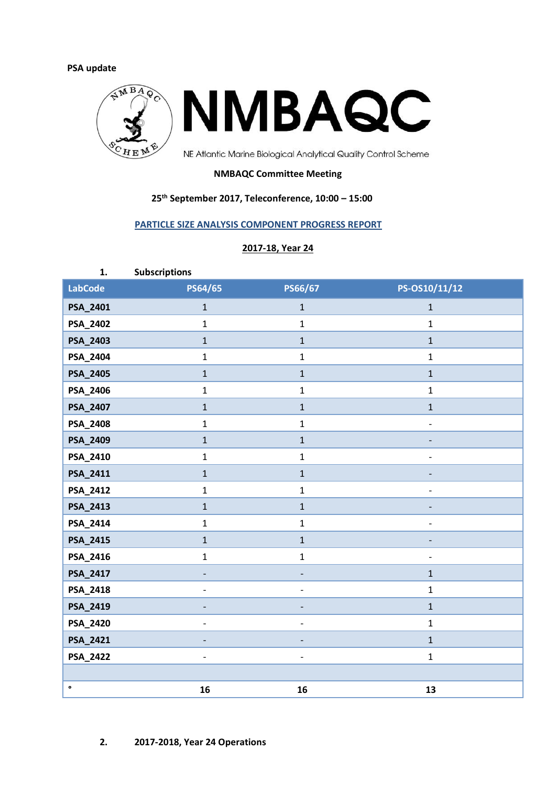## <span id="page-6-0"></span>**PSA update**



# **NMBAQC Committee Meeting**

## **25th September 2017, Teleconference, 10:00 – 15:00**

## **PARTICLE SIZE ANALYSIS COMPONENT PROGRESS REPORT**

#### **2017-18, Year 24**

| 1.             | Subscriptions            |                          |                   |
|----------------|--------------------------|--------------------------|-------------------|
| <b>LabCode</b> | PS64/65                  | PS66/67                  | PS-OS10/11/12     |
| PSA_2401       | $\mathbf{1}$             | $\mathbf{1}$             | $\mathbf{1}$      |
| PSA_2402       | $\mathbf{1}$             | $\mathbf{1}$             | $\mathbf{1}$      |
| PSA_2403       | $\mathbf{1}$             | $\mathbf{1}$             | $\mathbf{1}$      |
| PSA_2404       | $\mathbf{1}$             | $\mathbf{1}$             | $\mathbf{1}$      |
| PSA_2405       | $\mathbf{1}$             | $\mathbf{1}$             | $\mathbf{1}$      |
| PSA_2406       | $\mathbf{1}$             | $\mathbf{1}$             | $\mathbf{1}$      |
| PSA_2407       | $\mathbf{1}$             | $\mathbf{1}$             | $\mathbf{1}$      |
| PSA_2408       | $\mathbf{1}$             | $\mathbf{1}$             | $\qquad \qquad -$ |
| PSA_2409       | $\mathbf{1}$             | $\mathbf{1}$             |                   |
| PSA_2410       | $\mathbf{1}$             | $\mathbf{1}$             |                   |
| PSA_2411       | $\mathbf{1}$             | $\mathbf{1}$             |                   |
| PSA_2412       | $\mathbf{1}$             | $\mathbf{1}$             |                   |
| PSA_2413       | $\mathbf{1}$             | $\mathbf{1}$             |                   |
| PSA_2414       | $\mathbf{1}$             | $\mathbf{1}$             | $\overline{a}$    |
| PSA_2415       | $\mathbf{1}$             | $\mathbf{1}$             |                   |
| PSA_2416       | $\mathbf{1}$             | $\mathbf{1}$             | $\overline{a}$    |
| PSA_2417       | $\overline{\phantom{a}}$ | $\overline{\phantom{a}}$ | $\mathbf{1}$      |
| PSA_2418       | $\overline{\phantom{a}}$ | $\qquad \qquad -$        | $\mathbf{1}$      |
| PSA_2419       | $\overline{\phantom{a}}$ |                          | $\mathbf{1}$      |
| PSA_2420       | $\overline{\phantom{a}}$ | $\overline{a}$           | $\mathbf{1}$      |
| PSA_2421       |                          |                          | $\mathbf{1}$      |
| PSA_2422       | $\blacksquare$           | $\overline{a}$           | $\mathbf{1}$      |
|                |                          |                          |                   |
| $\bullet$      | 16                       | 16                       | 13                |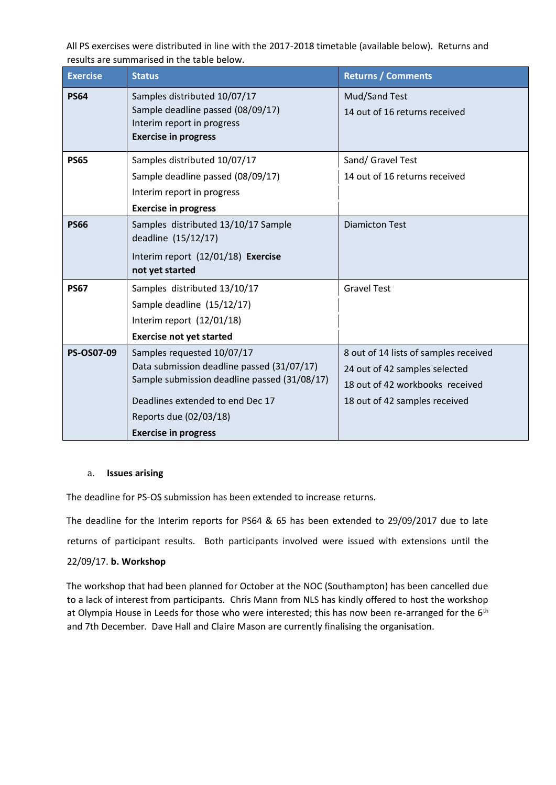All PS exercises were distributed in line with the 2017-2018 timetable (available below). Returns and results are summarised in the table below.

| <b>Exercise</b> | <b>Status</b>                                                                                                                                                                                                         | <b>Returns / Comments</b>                                                                                                                  |
|-----------------|-----------------------------------------------------------------------------------------------------------------------------------------------------------------------------------------------------------------------|--------------------------------------------------------------------------------------------------------------------------------------------|
| <b>PS64</b>     | Samples distributed 10/07/17<br>Sample deadline passed (08/09/17)<br>Interim report in progress<br><b>Exercise in progress</b>                                                                                        | Mud/Sand Test<br>14 out of 16 returns received                                                                                             |
| <b>PS65</b>     | Samples distributed 10/07/17<br>Sample deadline passed (08/09/17)<br>Interim report in progress<br><b>Exercise in progress</b>                                                                                        | Sand/ Gravel Test<br>14 out of 16 returns received                                                                                         |
| <b>PS66</b>     | Samples distributed 13/10/17 Sample<br>deadline (15/12/17)<br>Interim report (12/01/18) Exercise<br>not yet started                                                                                                   | <b>Diamicton Test</b>                                                                                                                      |
| <b>PS67</b>     | Samples distributed 13/10/17<br>Sample deadline (15/12/17)<br>Interim report (12/01/18)<br><b>Exercise not yet started</b>                                                                                            | <b>Gravel Test</b>                                                                                                                         |
| PS-OS07-09      | Samples requested 10/07/17<br>Data submission deadline passed (31/07/17)<br>Sample submission deadline passed (31/08/17)<br>Deadlines extended to end Dec 17<br>Reports due (02/03/18)<br><b>Exercise in progress</b> | 8 out of 14 lists of samples received<br>24 out of 42 samples selected<br>18 out of 42 workbooks received<br>18 out of 42 samples received |

#### a. **Issues arising**

The deadline for PS-OS submission has been extended to increase returns.

The deadline for the Interim reports for PS64 & 65 has been extended to 29/09/2017 due to late returns of participant results. Both participants involved were issued with extensions until the 22/09/17. **b. Workshop** 

The workshop that had been planned for October at the NOC (Southampton) has been cancelled due to a lack of interest from participants. Chris Mann from NLS has kindly offered to host the workshop at Olympia House in Leeds for those who were interested; this has now been re-arranged for the 6<sup>th</sup> and 7th December. Dave Hall and Claire Mason are currently finalising the organisation.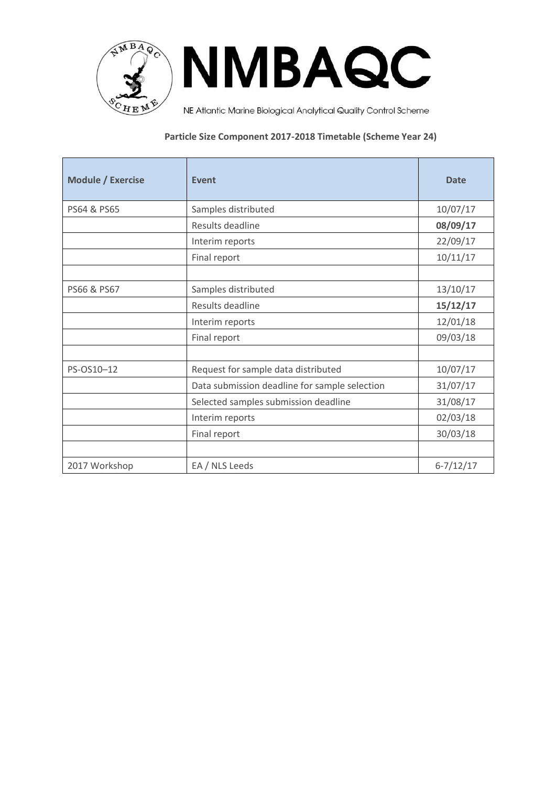

**NMBAQC** 

NE Atlantic Marine Biological Analytical Quality Control Scheme

# **Particle Size Component 2017-2018 Timetable (Scheme Year 24)**

| <b>Module / Exercise</b> | Event                                         | <b>Date</b>   |
|--------------------------|-----------------------------------------------|---------------|
| PS64 & PS65              | Samples distributed                           | 10/07/17      |
|                          | Results deadline                              | 08/09/17      |
|                          | Interim reports                               | 22/09/17      |
|                          | Final report                                  | 10/11/17      |
|                          |                                               |               |
| PS66 & PS67              | Samples distributed                           | 13/10/17      |
|                          | Results deadline                              | 15/12/17      |
|                          | Interim reports                               | 12/01/18      |
|                          | Final report                                  | 09/03/18      |
|                          |                                               |               |
| PS-OS10-12               | Request for sample data distributed           | 10/07/17      |
|                          | Data submission deadline for sample selection | 31/07/17      |
|                          | Selected samples submission deadline          | 31/08/17      |
|                          | Interim reports                               | 02/03/18      |
|                          | Final report                                  | 30/03/18      |
|                          |                                               |               |
| 2017 Workshop            | EA / NLS Leeds                                | $6 - 7/12/17$ |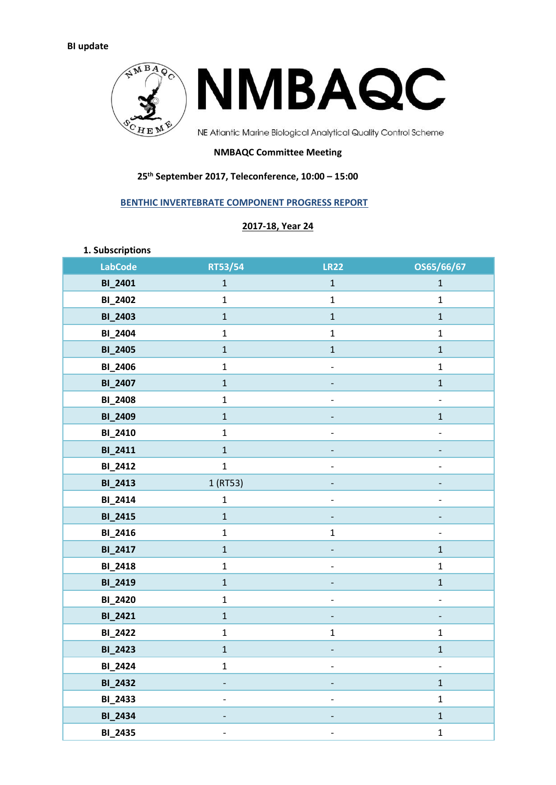<span id="page-9-0"></span>

#### **NMBAQC Committee Meeting**

# **25th September 2017, Teleconference, 10:00 – 15:00**

# **BENTHIC INVERTEBRATE COMPONENT PROGRESS REPORT**

# **2017-18, Year 24**

| 1. Subscriptions |              |                              |                              |
|------------------|--------------|------------------------------|------------------------------|
| <b>LabCode</b>   | RT53/54      | <b>LR22</b>                  | OS65/66/67                   |
| <b>BI_2401</b>   | $\mathbf{1}$ | $\mathbf 1$                  | $\mathbf 1$                  |
| <b>BI_2402</b>   | $\mathbf 1$  | $\mathbf 1$                  | $\mathbf{1}$                 |
| <b>BI_2403</b>   | $\mathbf 1$  | $\mathbf 1$                  | $\mathbf{1}$                 |
| <b>BI_2404</b>   | $\mathbf{1}$ | $\mathbf 1$                  | $\mathbf 1$                  |
| <b>BI_2405</b>   | $\mathbf 1$  | $\mathbf 1$                  | $\mathbf{1}$                 |
| <b>BI_2406</b>   | $\mathbf{1}$ | $\qquad \qquad \blacksquare$ | $\mathbf 1$                  |
| <b>BI_2407</b>   | $\mathbf 1$  |                              | $\mathbf{1}$                 |
| <b>BI_2408</b>   | $\mathbf 1$  | $\qquad \qquad -$            | $\overline{\phantom{0}}$     |
| <b>BI_2409</b>   | $\mathbf 1$  |                              | $\mathbf 1$                  |
| <b>BI_2410</b>   | $\mathbf{1}$ | $\qquad \qquad \blacksquare$ | $\overline{\phantom{0}}$     |
| <b>BI_2411</b>   | $\mathbf 1$  |                              | -                            |
| <b>BI_2412</b>   | $\mathbf 1$  | $\overline{\phantom{0}}$     | $\overline{\phantom{0}}$     |
| <b>BI_2413</b>   | 1 (RT53)     | -                            | $\qquad \qquad \blacksquare$ |
| <b>BI_2414</b>   | $\mathbf 1$  |                              | $\qquad \qquad \blacksquare$ |
| <b>BI_2415</b>   | $\mathbf 1$  | -                            |                              |
| <b>BI_2416</b>   | $\mathbf 1$  | $\mathbf 1$                  | $\overline{\phantom{0}}$     |
| <b>BI_2417</b>   | $\mathbf 1$  | $\overline{\phantom{0}}$     | $\mathbf{1}$                 |
| <b>BI_2418</b>   | $\mathbf 1$  | $\qquad \qquad -$            | $\mathbf{1}$                 |
| <b>BI_2419</b>   | $\mathbf 1$  |                              | $\mathbf 1$                  |
| <b>BI_2420</b>   | $\mathbf 1$  | $\qquad \qquad -$            | $\qquad \qquad -$            |
| <b>BI_2421</b>   | $\mathbf 1$  | -                            | -                            |
| <b>BI_2422</b>   | $\mathbf 1$  | $\mathbf 1$                  | $\mathbf 1$                  |
| <b>BI_2423</b>   | $\mathbf 1$  | -                            | $\mathbf 1$                  |
| <b>BI_2424</b>   | $\mathbf{1}$ |                              |                              |
| <b>BI_2432</b>   |              |                              | $\mathbf{1}$                 |
| <b>BI_2433</b>   |              |                              | $\mathbf{1}$                 |
| <b>BI_2434</b>   |              |                              | $\mathbf{1}$                 |
| <b>BI_2435</b>   |              |                              | $\mathbf{1}$                 |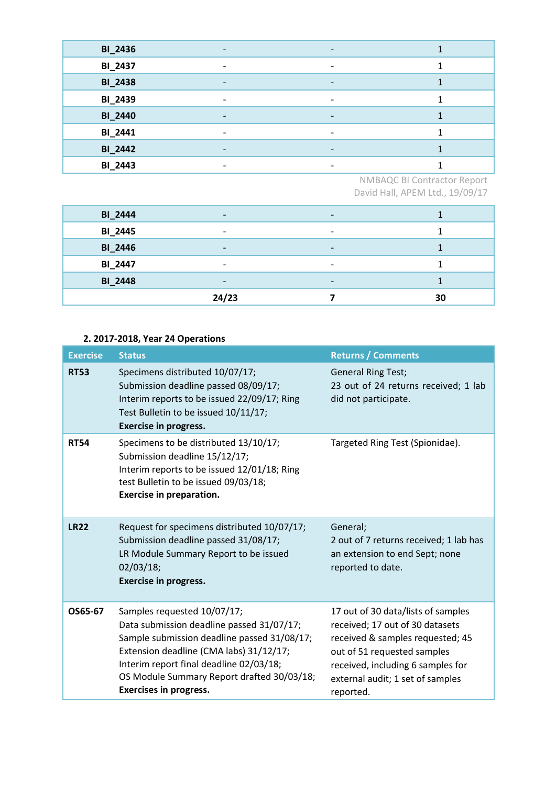| <b>BI_2436</b> |                              | $\overline{\phantom{a}}$ |  |
|----------------|------------------------------|--------------------------|--|
| <b>BI_2437</b> | -                            | $\overline{\phantom{a}}$ |  |
| <b>BI_2438</b> |                              | $\qquad \qquad$          |  |
| <b>BI_2439</b> |                              | $\overline{\phantom{a}}$ |  |
| <b>BI_2440</b> | $\qquad \qquad \blacksquare$ | $\overline{\phantom{a}}$ |  |
| BI_2441        |                              | $\overline{\phantom{0}}$ |  |
| <b>BI_2442</b> |                              | $\overline{\phantom{0}}$ |  |
| <b>BI_2443</b> |                              |                          |  |

NMBAQC BI Contractor Report David Hall, APEM Ltd., 19/09/17

| <b>BI_2444</b> | $\overline{\phantom{0}}$ | $\overline{\phantom{a}}$ |    |
|----------------|--------------------------|--------------------------|----|
| <b>BI_2445</b> |                          | $\overline{\phantom{0}}$ |    |
| <b>BI_2446</b> | -                        | $\overline{\phantom{a}}$ |    |
| <b>BI_2447</b> | $\overline{\phantom{0}}$ | $\overline{\phantom{a}}$ |    |
| <b>BI_2448</b> |                          | $\overline{\phantom{a}}$ |    |
|                | 24/23                    |                          | 30 |

# **2. 2017-2018, Year 24 Operations**

| <b>Exercise</b> | <b>Status</b>                                                                                                                                                                                                                                                                                | <b>Returns / Comments</b>                                                                                                                                                                                                      |
|-----------------|----------------------------------------------------------------------------------------------------------------------------------------------------------------------------------------------------------------------------------------------------------------------------------------------|--------------------------------------------------------------------------------------------------------------------------------------------------------------------------------------------------------------------------------|
| <b>RT53</b>     | Specimens distributed 10/07/17;<br>Submission deadline passed 08/09/17;<br>Interim reports to be issued 22/09/17; Ring<br>Test Bulletin to be issued 10/11/17;<br><b>Exercise in progress.</b>                                                                                               | <b>General Ring Test;</b><br>23 out of 24 returns received; 1 lab<br>did not participate.                                                                                                                                      |
| <b>RT54</b>     | Specimens to be distributed 13/10/17;<br>Submission deadline 15/12/17;<br>Interim reports to be issued 12/01/18; Ring<br>test Bulletin to be issued 09/03/18;<br><b>Exercise in preparation.</b>                                                                                             | Targeted Ring Test (Spionidae).                                                                                                                                                                                                |
| <b>LR22</b>     | Request for specimens distributed 10/07/17;<br>Submission deadline passed 31/08/17;<br>LR Module Summary Report to be issued<br>02/03/18;<br><b>Exercise in progress.</b>                                                                                                                    | General;<br>2 out of 7 returns received; 1 lab has<br>an extension to end Sept; none<br>reported to date.                                                                                                                      |
| OS65-67         | Samples requested 10/07/17;<br>Data submission deadline passed 31/07/17;<br>Sample submission deadline passed 31/08/17;<br>Extension deadline (CMA labs) 31/12/17;<br>Interim report final deadline 02/03/18;<br>OS Module Summary Report drafted 30/03/18;<br><b>Exercises in progress.</b> | 17 out of 30 data/lists of samples<br>received; 17 out of 30 datasets<br>received & samples requested; 45<br>out of 51 requested samples<br>received, including 6 samples for<br>external audit; 1 set of samples<br>reported. |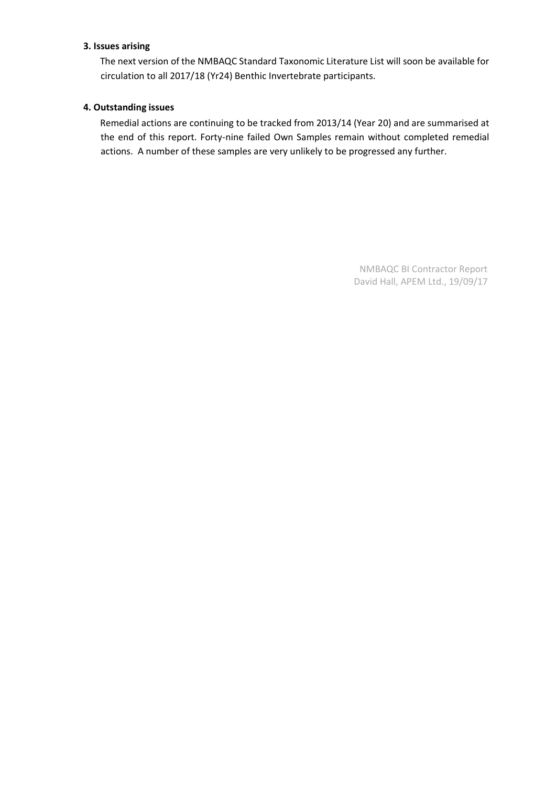# **3. Issues arising**

The next version of the NMBAQC Standard Taxonomic Literature List will soon be available for circulation to all 2017/18 (Yr24) Benthic Invertebrate participants.

## **4. Outstanding issues**

Remedial actions are continuing to be tracked from 2013/14 (Year 20) and are summarised at the end of this report. Forty-nine failed Own Samples remain without completed remedial actions. A number of these samples are very unlikely to be progressed any further.

> NMBAQC BI Contractor Report David Hall, APEM Ltd., 19/09/17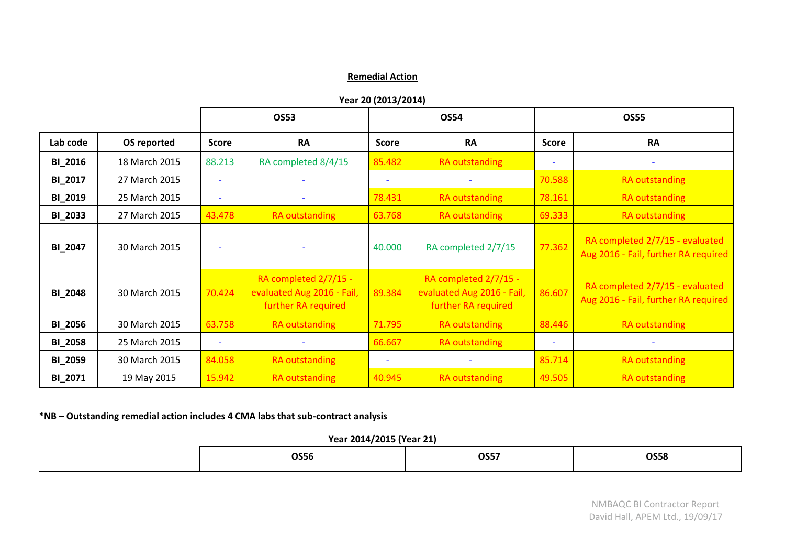## **Remedial Action**

**Year 20 (2013/2014)**

|                |               |                | OS53                                                                       |                          | <b>OS54</b>                                                                |              | <b>OS55</b>                                                             |
|----------------|---------------|----------------|----------------------------------------------------------------------------|--------------------------|----------------------------------------------------------------------------|--------------|-------------------------------------------------------------------------|
| Lab code       | OS reported   | <b>Score</b>   | <b>RA</b>                                                                  | <b>Score</b>             | <b>RA</b>                                                                  | <b>Score</b> | <b>RA</b>                                                               |
| <b>BI_2016</b> | 18 March 2015 | 88.213         | RA completed 8/4/15                                                        | 85.482                   | RA outstanding                                                             | ÷            |                                                                         |
| BI 2017        | 27 March 2015 |                |                                                                            |                          | $\overline{\phantom{a}}$                                                   | 70.588       | RA outstanding                                                          |
| <b>BI_2019</b> | 25 March 2015 |                |                                                                            | 78.431                   | <b>RA</b> outstanding                                                      | 78.161       | RA outstanding                                                          |
| <b>BI_2033</b> | 27 March 2015 | 43.478         | RA outstanding                                                             | 63.768                   | RA outstanding                                                             | 69.333       | RA outstanding                                                          |
| <b>BI_2047</b> | 30 March 2015 |                |                                                                            | 40.000                   | RA completed 2/7/15                                                        | 77.362       | RA completed 2/7/15 - evaluated<br>Aug 2016 - Fail, further RA required |
| <b>BI_2048</b> | 30 March 2015 |                | RA completed 2/7/15 -<br>evaluated Aug 2016 - Fail,<br>further RA required | 89.384                   | RA completed 2/7/15 -<br>evaluated Aug 2016 - Fail,<br>further RA required | 86.607       | RA completed 2/7/15 - evaluated<br>Aug 2016 - Fail, further RA required |
| <b>BI_2056</b> | 30 March 2015 | 63.758         | RA outstanding                                                             | 71.795                   | RA outstanding                                                             | 88.446       | RA outstanding                                                          |
| <b>BI_2058</b> | 25 March 2015 | $\blacksquare$ |                                                                            | 66.667                   | RA outstanding                                                             | ÷            |                                                                         |
| <b>BI_2059</b> | 30 March 2015 | 84.058         | RA outstanding                                                             | $\overline{\phantom{a}}$ |                                                                            | 85.714       | RA outstanding                                                          |
| BI_2071        | 19 May 2015   | 15.942         | <b>RA</b> outstanding                                                      | 40.945                   | <b>RA outstanding</b>                                                      | 49.505       | <b>RA</b> outstanding                                                   |

**\*NB – Outstanding remedial action includes 4 CMA labs that sub-contract analysis**

# **Year 2014/2015 (Year 21)**

| <b>OS56</b> | <b>OS57</b> | <b>OS58</b> |
|-------------|-------------|-------------|
|             |             |             |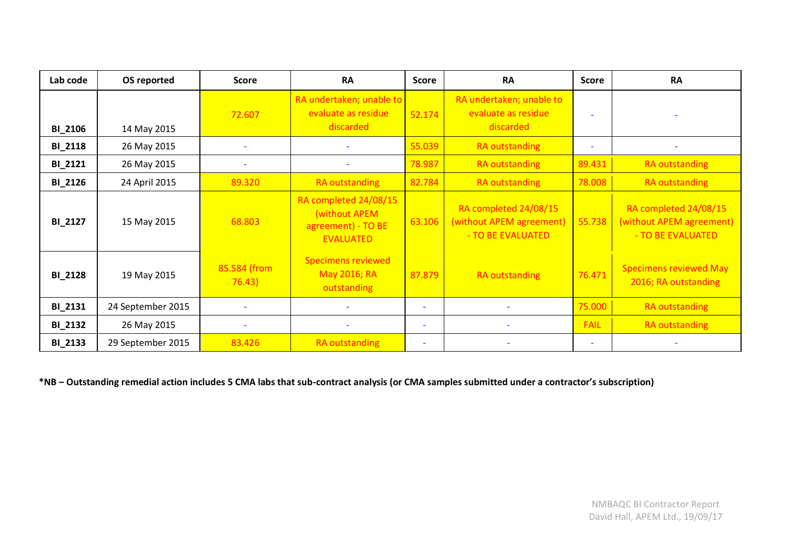| Lab code       | OS reported       | <b>Score</b>             | <b>RA</b>                                                                        | <b>Score</b>             | <b>RA</b>                                                              | <b>Score</b>             | <b>RA</b>                                                              |
|----------------|-------------------|--------------------------|----------------------------------------------------------------------------------|--------------------------|------------------------------------------------------------------------|--------------------------|------------------------------------------------------------------------|
| <b>BI_2106</b> | 14 May 2015       | 72.607                   | RA undertaken; unable to<br>evaluate as residue<br>discarded                     | 52.174                   | RA undertaken; unable to<br>evaluate as residue<br>discarded           |                          |                                                                        |
| <b>BI_2118</b> | 26 May 2015       | $\overline{\phantom{a}}$ | $\equiv$                                                                         | 55.039                   | RA outstanding                                                         | $\overline{\phantom{a}}$ |                                                                        |
| <b>BI_2121</b> | 26 May 2015       | $\sim$                   | $\overline{\phantom{a}}$                                                         | 78.987                   | <b>RA outstanding</b>                                                  | 89.431                   | RA outstanding                                                         |
| <b>BI_2126</b> | 24 April 2015     | 89.320                   | <b>RA</b> outstanding                                                            | 82.784                   | <b>RA outstanding</b>                                                  | 78.008                   | RA outstanding                                                         |
| <b>BI_2127</b> | 15 May 2015       | 68.803                   | RA completed 24/08/15<br>(without APEM<br>agreement) - TO BE<br><b>EVALUATED</b> | 63.106                   | RA completed 24/08/15<br>(without APEM agreement)<br>- TO BE EVALUATED | 55.738                   | RA completed 24/08/15<br>(without APEM agreement)<br>- TO BE EVALUATED |
| <b>BI_2128</b> | 19 May 2015       | 85.584 (from<br>76.43)   | <b>Specimens reviewed</b><br>May 2016; RA<br>outstanding                         | 87.879                   | <b>RA</b> outstanding                                                  | 76.471                   | <b>Specimens reviewed May</b><br>2016; RA outstanding                  |
| <b>BI_2131</b> | 24 September 2015 |                          |                                                                                  | $\overline{\phantom{0}}$ |                                                                        | 75.000                   | RA outstanding                                                         |
| <b>BI_2132</b> | 26 May 2015       | $\overline{\phantom{a}}$ |                                                                                  | $\overline{\phantom{0}}$ |                                                                        | <b>FAIL</b>              | RA outstanding                                                         |
| <b>BI_2133</b> | 29 September 2015 | 83.426                   | <b>RA</b> outstanding                                                            | $\overline{\phantom{0}}$ |                                                                        | $\overline{\phantom{a}}$ |                                                                        |

**\*NB – Outstanding remedial action includes 5 CMA labs that sub-contract analysis (or CMA samples submitted under a contractor's subscription)**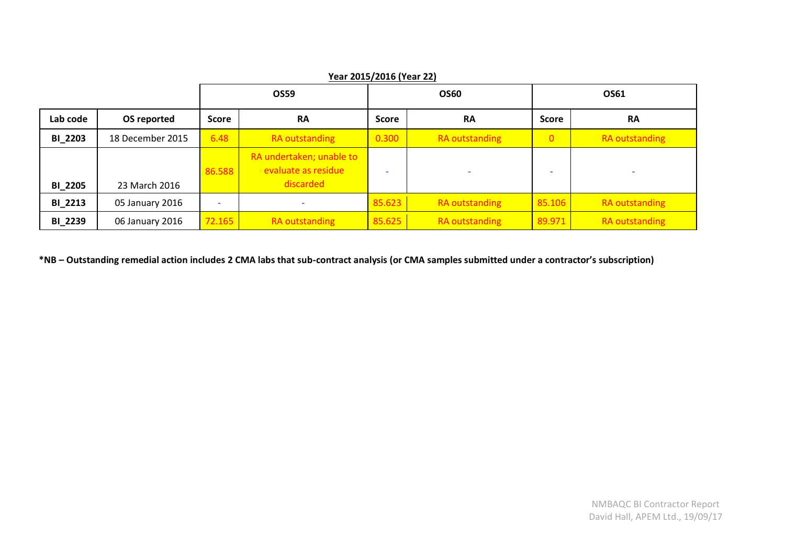|                | Year 2015/2016 (Year 22) |                          |                                                 |                          |                |                |                          |
|----------------|--------------------------|--------------------------|-------------------------------------------------|--------------------------|----------------|----------------|--------------------------|
|                |                          |                          | <b>OS60</b><br>OS59                             |                          |                | OS61           |                          |
| Lab code       | OS reported              | <b>Score</b>             | <b>RA</b><br><b>Score</b>                       |                          | <b>RA</b>      | <b>Score</b>   | <b>RA</b>                |
| <b>BI_2203</b> | 18 December 2015         | 6.48                     | RA outstanding                                  | 0.300                    | RA outstanding | $\overline{0}$ | RA outstanding           |
|                |                          | 86.588                   | RA undertaken; unable to<br>evaluate as residue | $\overline{\phantom{a}}$ |                |                | $\overline{\phantom{a}}$ |
| <b>BI 2205</b> | 23 March 2016            |                          | discarded                                       |                          |                |                |                          |
| <b>BI 2213</b> | 05 January 2016          | $\overline{\phantom{a}}$ |                                                 | 85.623                   | RA outstanding | 85.106         | RA outstanding           |
| <b>BI_2239</b> | 06 January 2016          | 72.165                   | <b>RA</b> outstanding                           | 85.625                   | RA outstanding | 89.971         | <b>RA outstanding</b>    |

**\*NB – Outstanding remedial action includes 2 CMA labs that sub-contract analysis (or CMA samples submitted under a contractor's subscription)**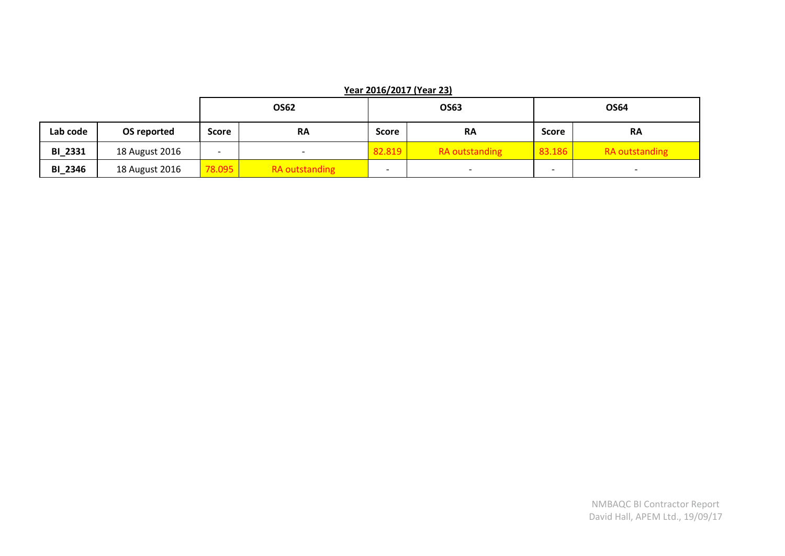|                |                |                          | <b>OS62</b>    | OS63                     |                          | <b>OS64</b>  |                          |
|----------------|----------------|--------------------------|----------------|--------------------------|--------------------------|--------------|--------------------------|
| Lab code       | OS reported    | <b>Score</b>             | <b>RA</b>      | Score                    | <b>RA</b>                | <b>Score</b> | <b>RA</b>                |
| <b>BI_2331</b> | 18 August 2016 | $\overline{\phantom{0}}$ |                | 82.819                   | <b>RA</b> outstanding    | 83.186       | <b>RA</b> outstanding    |
| <b>BI_2346</b> | 18 August 2016 | 78.095                   | RA outstanding | $\overline{\phantom{0}}$ | $\overline{\phantom{a}}$ |              | $\overline{\phantom{0}}$ |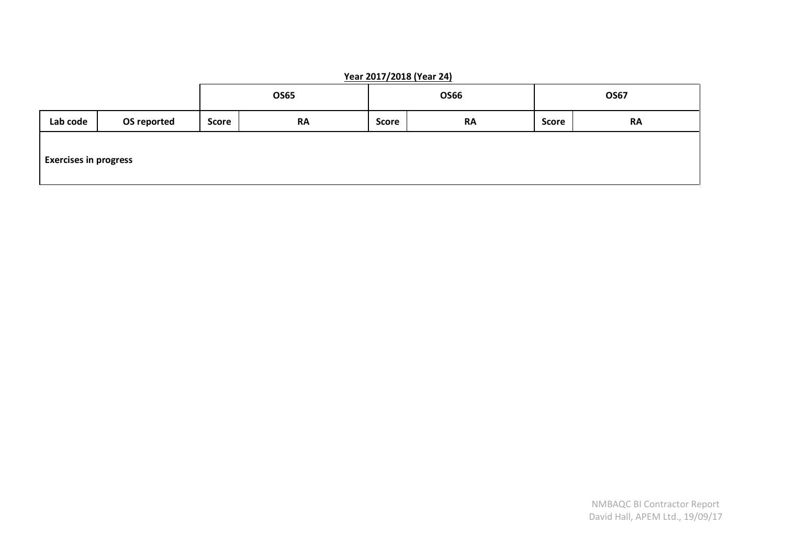|                              | $T$ edi 2017/2010 (Tedi 24) |              |           |             |           |              |           |
|------------------------------|-----------------------------|--------------|-----------|-------------|-----------|--------------|-----------|
|                              |                             | <b>OS65</b>  |           | <b>OS66</b> |           | <b>OS67</b>  |           |
| Lab code                     | OS reported                 | <b>Score</b> | <b>RA</b> | Score       | <b>RA</b> | <b>Score</b> | <b>RA</b> |
| <b>Exercises in progress</b> |                             |              |           |             |           |              |           |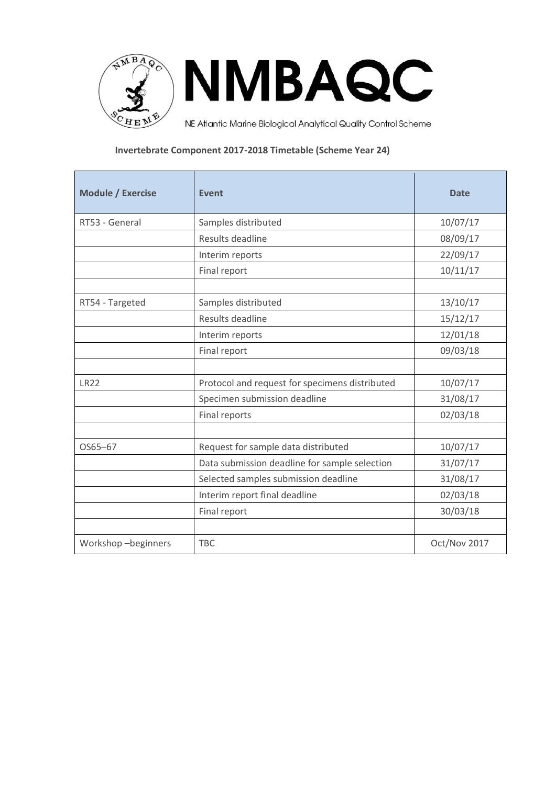

**Invertebrate Component 2017-2018 Timetable (Scheme Year 24)** 

| <b>Module / Exercise</b> | Event                                          | <b>Date</b>  |
|--------------------------|------------------------------------------------|--------------|
| RT53 - General           | Samples distributed                            | 10/07/17     |
|                          | Results deadline                               | 08/09/17     |
|                          | Interim reports                                | 22/09/17     |
|                          | Final report                                   | 10/11/17     |
|                          |                                                |              |
| RT54 - Targeted          | Samples distributed                            | 13/10/17     |
|                          | Results deadline                               | 15/12/17     |
|                          | Interim reports                                | 12/01/18     |
|                          | Final report                                   | 09/03/18     |
|                          |                                                |              |
| <b>LR22</b>              | Protocol and request for specimens distributed | 10/07/17     |
|                          | Specimen submission deadline                   | 31/08/17     |
|                          | Final reports                                  | 02/03/18     |
|                          |                                                |              |
| OS65-67                  | Request for sample data distributed            | 10/07/17     |
|                          | Data submission deadline for sample selection  | 31/07/17     |
|                          | Selected samples submission deadline           | 31/08/17     |
|                          | Interim report final deadline                  | 02/03/18     |
|                          | Final report                                   | 30/03/18     |
|                          |                                                |              |
| Workshop-beginners       | <b>TBC</b>                                     | Oct/Nov 2017 |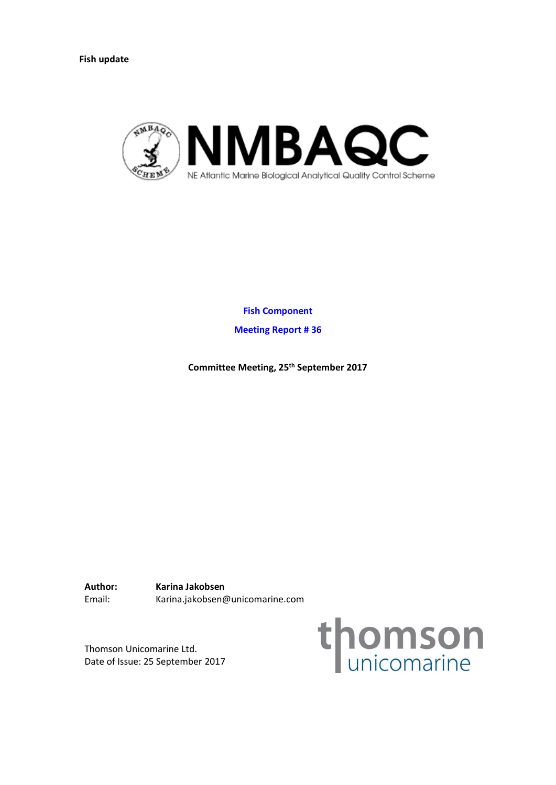<span id="page-18-0"></span>**Fish update**



**Fish Component**

**Meeting Report # 36**

**Committee Meeting, 25th September 2017**

**Author: Karina Jakobsen**  Email: Karina.jakobsen@unicomarine.com

Thomson Unicomarine Ltd. Date of Issue: 25 September 2017

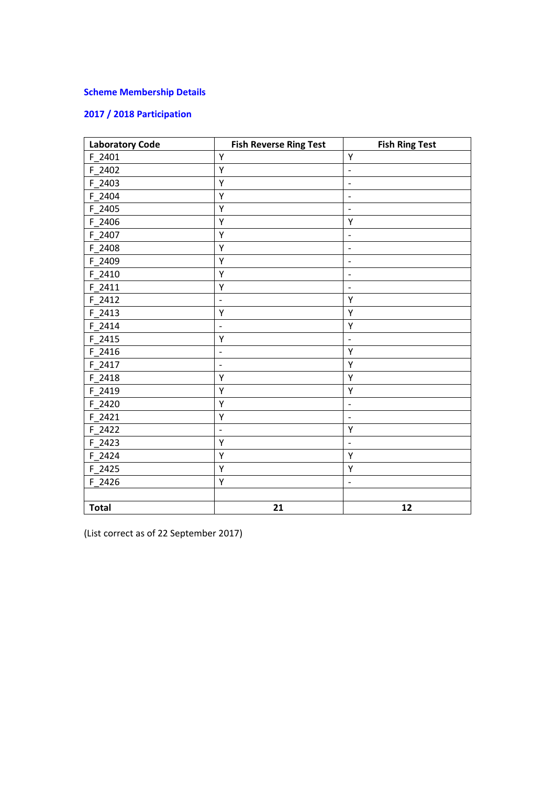# **Scheme Membership Details**

# **2017 / 2018 Participation**

| <b>Laboratory Code</b> | <b>Fish Reverse Ring Test</b> | <b>Fish Ring Test</b>        |
|------------------------|-------------------------------|------------------------------|
| F 2401                 | Υ                             | Υ                            |
| F_2402                 | Υ                             | $\overline{a}$               |
| F 2403                 | Υ                             | $\overline{a}$               |
| F 2404                 | Υ                             | $\qquad \qquad -$            |
| F 2405                 | Υ                             | $\overline{\phantom{a}}$     |
| F 2406                 | Υ                             | Υ                            |
| F 2407                 | Υ                             | $\qquad \qquad \blacksquare$ |
| F_2408                 | Υ                             | $\overline{a}$               |
| F_2409                 | Υ                             | $\overline{a}$               |
| F 2410                 | Υ                             | $\overline{a}$               |
| $F_2411$               | Υ                             | $\overline{\phantom{0}}$     |
| F 2412                 | $\overline{\phantom{0}}$      | Υ                            |
| $F_2413$               | Υ                             | Υ                            |
| F 2414                 | $\qquad \qquad \blacksquare$  | Υ                            |
| F 2415                 | Υ                             | $\overline{\phantom{0}}$     |
| F 2416                 | $\overline{\phantom{0}}$      | Υ                            |
| F_2417                 | $\qquad \qquad -$             | Υ                            |
| $F_2418$               | Υ                             | Υ                            |
| F 2419                 | Υ                             | Υ                            |
| $F_2420$               | Υ                             | $\overline{a}$               |
| F 2421                 | Υ                             | $\overline{\phantom{a}}$     |
| F 2422                 | $\overline{\phantom{a}}$      | Υ                            |
| F 2423                 | Υ                             | $\overline{a}$               |
| $F_2424$               | Υ                             | Υ                            |
| $F_2425$               | Υ                             | Υ                            |
| F 2426                 | Υ                             | $\overline{\phantom{a}}$     |
|                        |                               |                              |
| <b>Total</b>           | 21                            | 12                           |

(List correct as of 22 September 2017)